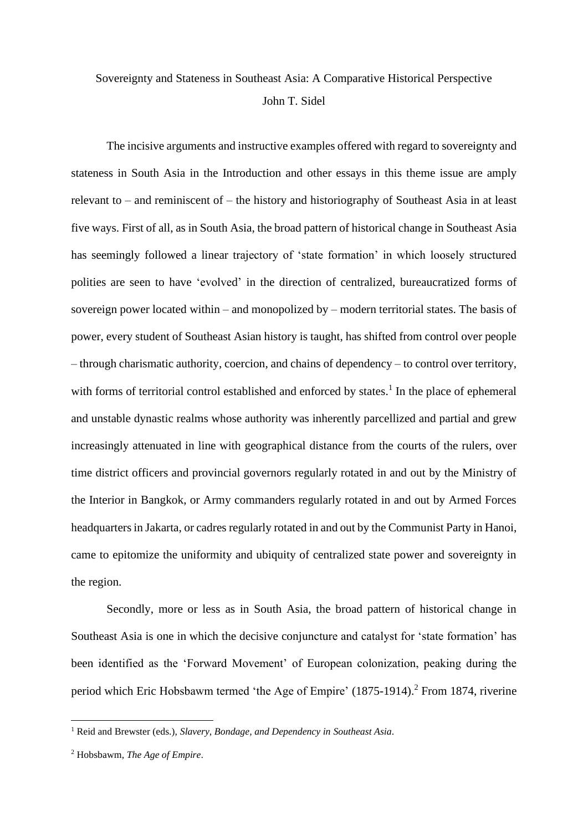## Sovereignty and Stateness in Southeast Asia: A Comparative Historical Perspective John T. Sidel

The incisive arguments and instructive examples offered with regard to sovereignty and stateness in South Asia in the Introduction and other essays in this theme issue are amply relevant to – and reminiscent of – the history and historiography of Southeast Asia in at least five ways. First of all, as in South Asia, the broad pattern of historical change in Southeast Asia has seemingly followed a linear trajectory of 'state formation' in which loosely structured polities are seen to have 'evolved' in the direction of centralized, bureaucratized forms of sovereign power located within – and monopolized by – modern territorial states. The basis of power, every student of Southeast Asian history is taught, has shifted from control over people – through charismatic authority, coercion, and chains of dependency – to control over territory, with forms of territorial control established and enforced by states.<sup>1</sup> In the place of ephemeral and unstable dynastic realms whose authority was inherently parcellized and partial and grew increasingly attenuated in line with geographical distance from the courts of the rulers, over time district officers and provincial governors regularly rotated in and out by the Ministry of the Interior in Bangkok, or Army commanders regularly rotated in and out by Armed Forces headquarters in Jakarta, or cadres regularly rotated in and out by the Communist Party in Hanoi, came to epitomize the uniformity and ubiquity of centralized state power and sovereignty in the region.

Secondly, more or less as in South Asia, the broad pattern of historical change in Southeast Asia is one in which the decisive conjuncture and catalyst for 'state formation' has been identified as the 'Forward Movement' of European colonization, peaking during the period which Eric Hobsbawm termed 'the Age of Empire' (1875-1914).<sup>2</sup> From 1874, riverine

<sup>1</sup> Reid and Brewster (eds.), *Slavery, Bondage, and Dependency in Southeast Asia*.

<sup>2</sup> Hobsbawm, *The Age of Empire*.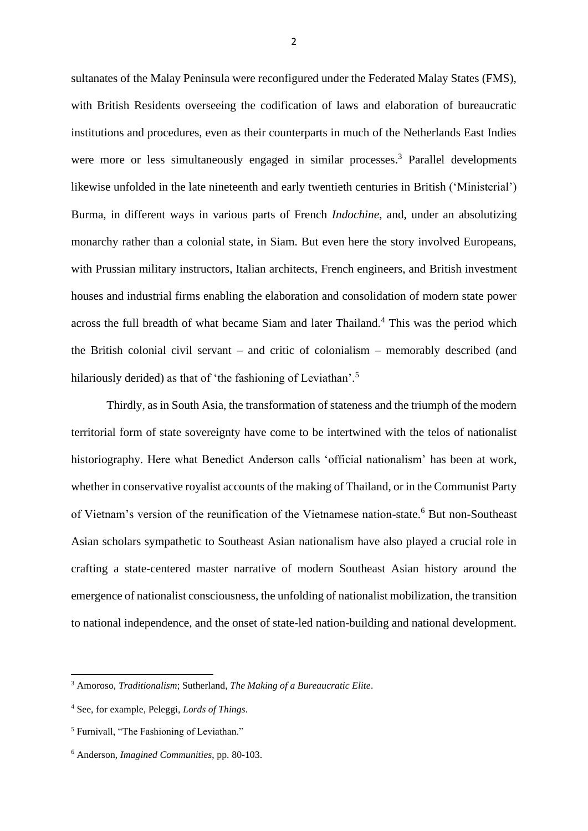sultanates of the Malay Peninsula were reconfigured under the Federated Malay States (FMS), with British Residents overseeing the codification of laws and elaboration of bureaucratic institutions and procedures, even as their counterparts in much of the Netherlands East Indies were more or less simultaneously engaged in similar processes.<sup>3</sup> Parallel developments likewise unfolded in the late nineteenth and early twentieth centuries in British ('Ministerial') Burma, in different ways in various parts of French *Indochine*, and, under an absolutizing monarchy rather than a colonial state, in Siam. But even here the story involved Europeans, with Prussian military instructors, Italian architects, French engineers, and British investment houses and industrial firms enabling the elaboration and consolidation of modern state power across the full breadth of what became Siam and later Thailand.<sup>4</sup> This was the period which the British colonial civil servant – and critic of colonialism – memorably described (and hilariously derided) as that of 'the fashioning of Leviathan'.<sup>5</sup>

Thirdly, as in South Asia, the transformation of stateness and the triumph of the modern territorial form of state sovereignty have come to be intertwined with the telos of nationalist historiography. Here what Benedict Anderson calls 'official nationalism' has been at work, whether in conservative royalist accounts of the making of Thailand, or in the Communist Party of Vietnam's version of the reunification of the Vietnamese nation-state.<sup>6</sup> But non-Southeast Asian scholars sympathetic to Southeast Asian nationalism have also played a crucial role in crafting a state-centered master narrative of modern Southeast Asian history around the emergence of nationalist consciousness, the unfolding of nationalist mobilization, the transition to national independence, and the onset of state-led nation-building and national development.

<sup>3</sup> Amoroso, *Traditionalism*; Sutherland, *The Making of a Bureaucratic Elite*.

<sup>4</sup> See, for example, Peleggi, *Lords of Things*.

<sup>5</sup> Furnivall, "The Fashioning of Leviathan."

<sup>6</sup> Anderson, *Imagined Communities*, pp. 80-103.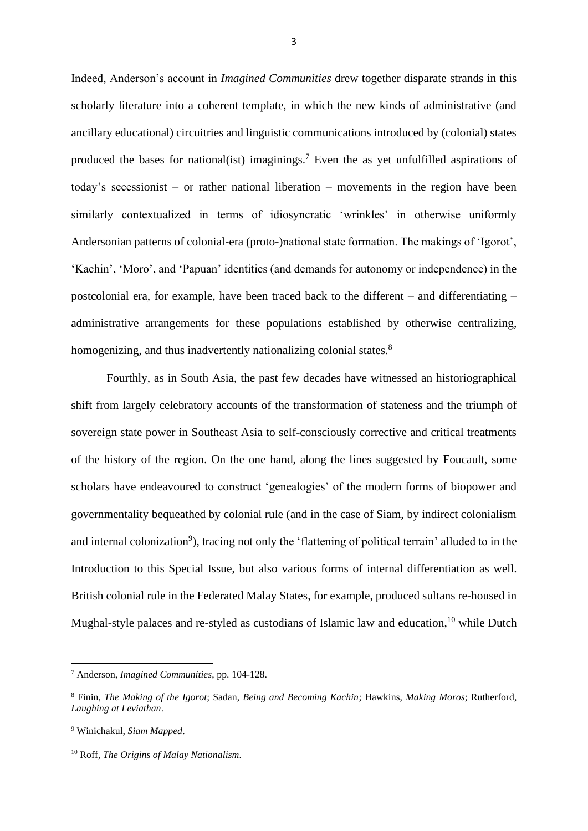Indeed, Anderson's account in *Imagined Communities* drew together disparate strands in this scholarly literature into a coherent template, in which the new kinds of administrative (and ancillary educational) circuitries and linguistic communications introduced by (colonial) states produced the bases for national(ist) imaginings.<sup>7</sup> Even the as yet unfulfilled aspirations of today's secessionist – or rather national liberation – movements in the region have been similarly contextualized in terms of idiosyncratic 'wrinkles' in otherwise uniformly Andersonian patterns of colonial-era (proto-)national state formation. The makings of 'Igorot', 'Kachin', 'Moro', and 'Papuan' identities (and demands for autonomy or independence) in the postcolonial era, for example, have been traced back to the different – and differentiating – administrative arrangements for these populations established by otherwise centralizing, homogenizing, and thus inadvertently nationalizing colonial states.<sup>8</sup>

Fourthly, as in South Asia, the past few decades have witnessed an historiographical shift from largely celebratory accounts of the transformation of stateness and the triumph of sovereign state power in Southeast Asia to self-consciously corrective and critical treatments of the history of the region. On the one hand, along the lines suggested by Foucault, some scholars have endeavoured to construct 'genealogies' of the modern forms of biopower and governmentality bequeathed by colonial rule (and in the case of Siam, by indirect colonialism and internal colonization<sup>9</sup>), tracing not only the 'flattening of political terrain' alluded to in the Introduction to this Special Issue, but also various forms of internal differentiation as well. British colonial rule in the Federated Malay States, for example, produced sultans re-housed in Mughal-style palaces and re-styled as custodians of Islamic law and education, <sup>10</sup> while Dutch

<sup>7</sup> Anderson, *Imagined Communities*, pp. 104-128.

<sup>8</sup> Finin, *The Making of the Igorot*; Sadan, *Being and Becoming Kachin*; Hawkins, *Making Moros*; Rutherford, *Laughing at Leviathan*.

<sup>9</sup> Winichakul, *Siam Mapped*.

<sup>10</sup> Roff, *The Origins of Malay Nationalism*.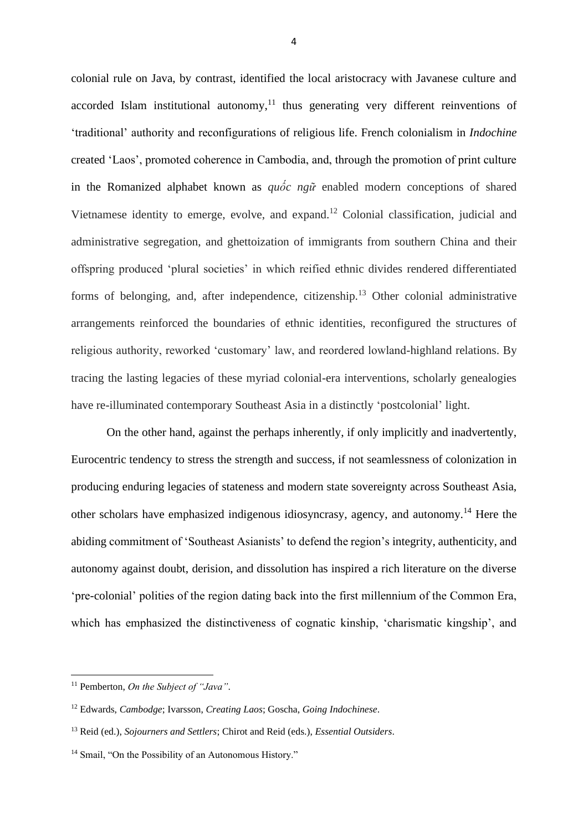colonial rule on Java, by contrast, identified the local aristocracy with Javanese culture and accorded Islam institutional autonomy, $11$  thus generating very different reinventions of 'traditional' authority and reconfigurations of religious life. French colonialism in *Indochine*  created 'Laos', promoted coherence in Cambodia, and, through the promotion of print culture in the Romanized alphabet known as *quốc ngữ* enabled modern conceptions of shared Vietnamese identity to emerge, evolve, and expand.<sup>12</sup> Colonial classification, judicial and administrative segregation, and ghettoization of immigrants from southern China and their offspring produced 'plural societies' in which reified ethnic divides rendered differentiated forms of belonging, and, after independence, citizenship.<sup>13</sup> Other colonial administrative arrangements reinforced the boundaries of ethnic identities, reconfigured the structures of religious authority, reworked 'customary' law, and reordered lowland-highland relations. By tracing the lasting legacies of these myriad colonial-era interventions, scholarly genealogies have re-illuminated contemporary Southeast Asia in a distinctly 'postcolonial' light.

On the other hand, against the perhaps inherently, if only implicitly and inadvertently, Eurocentric tendency to stress the strength and success, if not seamlessness of colonization in producing enduring legacies of stateness and modern state sovereignty across Southeast Asia, other scholars have emphasized indigenous idiosyncrasy, agency, and autonomy.<sup>14</sup> Here the abiding commitment of 'Southeast Asianists' to defend the region's integrity, authenticity, and autonomy against doubt, derision, and dissolution has inspired a rich literature on the diverse 'pre-colonial' polities of the region dating back into the first millennium of the Common Era, which has emphasized the distinctiveness of cognatic kinship, 'charismatic kingship', and

<sup>11</sup> Pemberton, *On the Subject of "Java"*.

<sup>12</sup> Edwards, *Cambodge*; Ivarsson, *Creating Laos*; Goscha, *Going Indochinese*.

<sup>13</sup> Reid (ed.), *Sojourners and Settlers*; Chirot and Reid (eds.), *Essential Outsiders*.

<sup>&</sup>lt;sup>14</sup> Smail, "On the Possibility of an Autonomous History."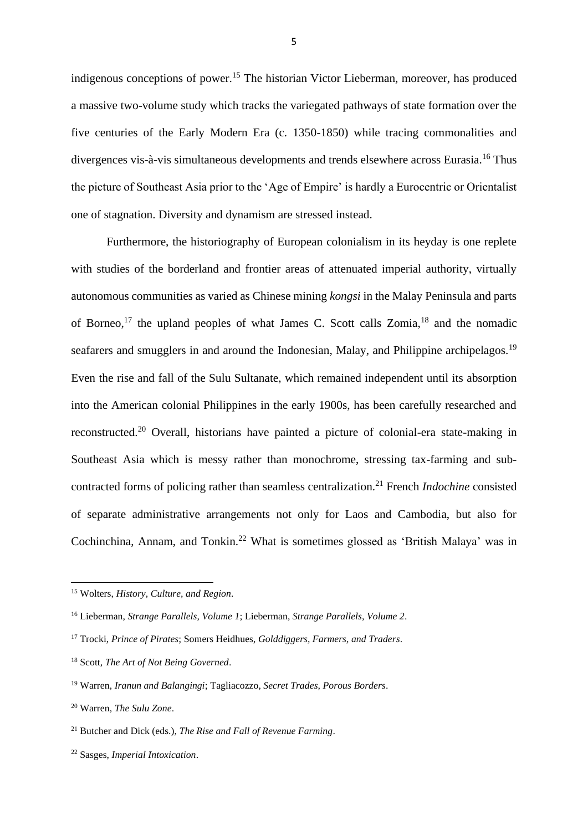indigenous conceptions of power.<sup>15</sup> The historian Victor Lieberman, moreover, has produced a massive two-volume study which tracks the variegated pathways of state formation over the five centuries of the Early Modern Era (c. 1350-1850) while tracing commonalities and divergences vis-à-vis simultaneous developments and trends elsewhere across Eurasia.<sup>16</sup> Thus the picture of Southeast Asia prior to the 'Age of Empire' is hardly a Eurocentric or Orientalist one of stagnation. Diversity and dynamism are stressed instead.

Furthermore, the historiography of European colonialism in its heyday is one replete with studies of the borderland and frontier areas of attenuated imperial authority, virtually autonomous communities as varied as Chinese mining *kongsi* in the Malay Peninsula and parts of Borneo,<sup>17</sup> the upland peoples of what James C. Scott calls Zomia,<sup>18</sup> and the nomadic seafarers and smugglers in and around the Indonesian, Malay, and Philippine archipelagos.<sup>19</sup> Even the rise and fall of the Sulu Sultanate, which remained independent until its absorption into the American colonial Philippines in the early 1900s, has been carefully researched and reconstructed.<sup>20</sup> Overall, historians have painted a picture of colonial-era state-making in Southeast Asia which is messy rather than monochrome, stressing tax-farming and subcontracted forms of policing rather than seamless centralization.<sup>21</sup> French *Indochine* consisted of separate administrative arrangements not only for Laos and Cambodia, but also for Cochinchina, Annam, and Tonkin.<sup>22</sup> What is sometimes glossed as 'British Malaya' was in

<sup>15</sup> Wolters, *History, Culture, and Region*.

<sup>16</sup> Lieberman, *Strange Parallels, Volume 1*; Lieberman, *Strange Parallels, Volume 2*.

<sup>17</sup> Trocki, *Prince of Pirates*; Somers Heidhues, *Golddiggers, Farmers, and Traders*.

<sup>18</sup> Scott, *The Art of Not Being Governed*.

<sup>19</sup> Warren, *Iranun and Balangingi*; Tagliacozzo, *Secret Trades, Porous Borders*.

<sup>20</sup> Warren, *The Sulu Zone*.

<sup>21</sup> Butcher and Dick (eds.), *The Rise and Fall of Revenue Farming*.

<sup>22</sup> Sasges, *Imperial Intoxication*.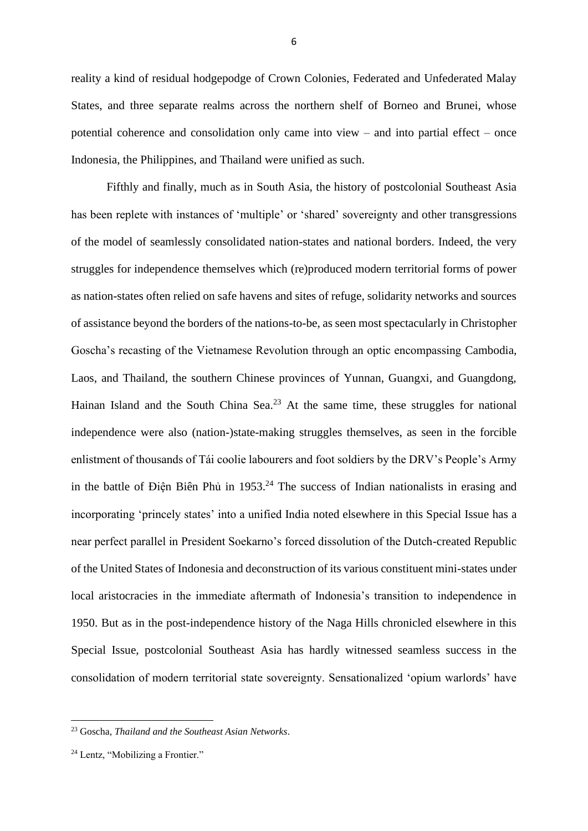reality a kind of residual hodgepodge of Crown Colonies, Federated and Unfederated Malay States, and three separate realms across the northern shelf of Borneo and Brunei, whose potential coherence and consolidation only came into view – and into partial effect – once Indonesia, the Philippines, and Thailand were unified as such.

Fifthly and finally, much as in South Asia, the history of postcolonial Southeast Asia has been replete with instances of 'multiple' or 'shared' sovereignty and other transgressions of the model of seamlessly consolidated nation-states and national borders. Indeed, the very struggles for independence themselves which (re)produced modern territorial forms of power as nation-states often relied on safe havens and sites of refuge, solidarity networks and sources of assistance beyond the borders of the nations-to-be, as seen most spectacularly in Christopher Goscha's recasting of the Vietnamese Revolution through an optic encompassing Cambodia, Laos, and Thailand, the southern Chinese provinces of Yunnan, Guangxi, and Guangdong, Hainan Island and the South China Sea.<sup>23</sup> At the same time, these struggles for national independence were also (nation-)state-making struggles themselves, as seen in the forcible enlistment of thousands of Tái coolie labourers and foot soldiers by the DRV's People's Army in the battle of Điện Biên Phủ in  $1953<sup>24</sup>$  The success of Indian nationalists in erasing and incorporating 'princely states' into a unified India noted elsewhere in this Special Issue has a near perfect parallel in President Soekarno's forced dissolution of the Dutch-created Republic of the United States of Indonesia and deconstruction of its various constituent mini-states under local aristocracies in the immediate aftermath of Indonesia's transition to independence in 1950. But as in the post-independence history of the Naga Hills chronicled elsewhere in this Special Issue, postcolonial Southeast Asia has hardly witnessed seamless success in the consolidation of modern territorial state sovereignty. Sensationalized 'opium warlords' have

<sup>23</sup> Goscha, *Thailand and the Southeast Asian Networks*.

<sup>&</sup>lt;sup>24</sup> Lentz, "Mobilizing a Frontier."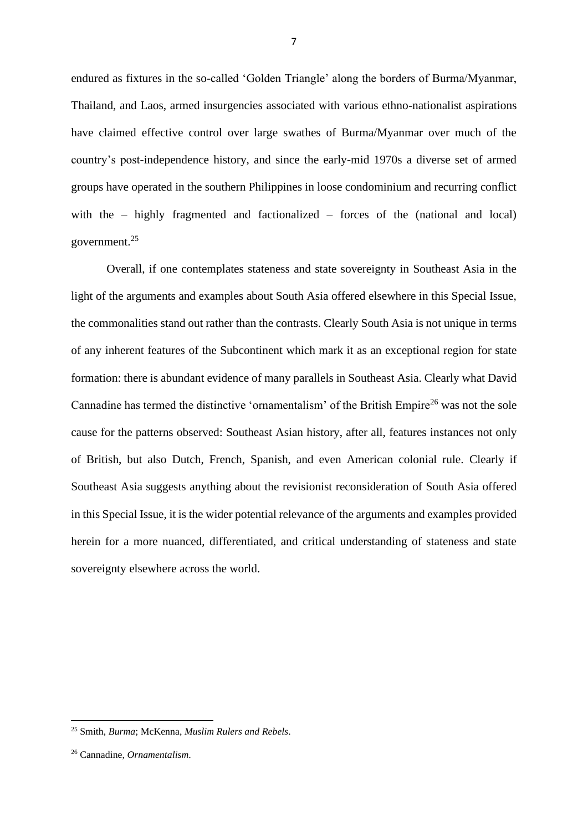endured as fixtures in the so-called 'Golden Triangle' along the borders of Burma/Myanmar, Thailand, and Laos, armed insurgencies associated with various ethno-nationalist aspirations have claimed effective control over large swathes of Burma/Myanmar over much of the country's post-independence history, and since the early-mid 1970s a diverse set of armed groups have operated in the southern Philippines in loose condominium and recurring conflict with the – highly fragmented and factionalized – forces of the (national and local) government.<sup>25</sup>

Overall, if one contemplates stateness and state sovereignty in Southeast Asia in the light of the arguments and examples about South Asia offered elsewhere in this Special Issue, the commonalities stand out rather than the contrasts. Clearly South Asia is not unique in terms of any inherent features of the Subcontinent which mark it as an exceptional region for state formation: there is abundant evidence of many parallels in Southeast Asia. Clearly what David Cannadine has termed the distinctive 'ornamentalism' of the British Empire<sup>26</sup> was not the sole cause for the patterns observed: Southeast Asian history, after all, features instances not only of British, but also Dutch, French, Spanish, and even American colonial rule. Clearly if Southeast Asia suggests anything about the revisionist reconsideration of South Asia offered in this Special Issue, it is the wider potential relevance of the arguments and examples provided herein for a more nuanced, differentiated, and critical understanding of stateness and state sovereignty elsewhere across the world.

<sup>25</sup> Smith, *Burma*; McKenna, *Muslim Rulers and Rebels*.

<sup>26</sup> Cannadine, *Ornamentalism*.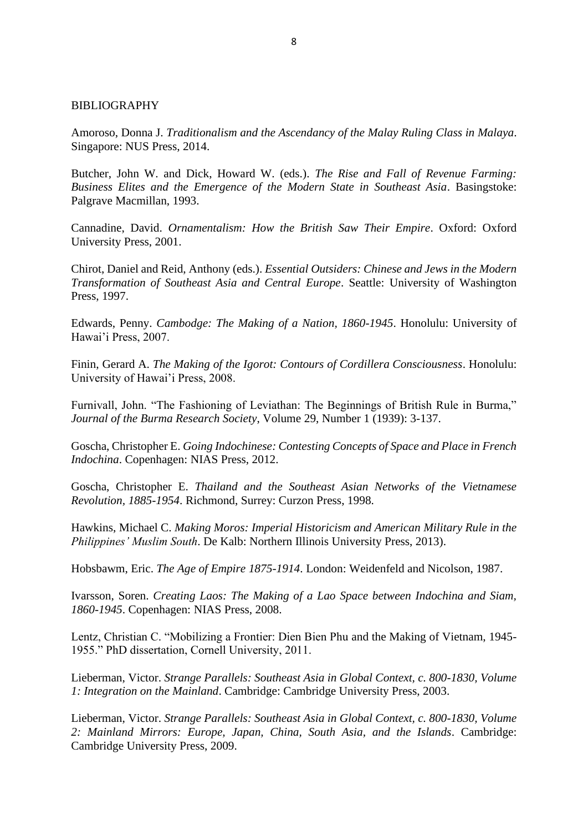## BIBLIOGRAPHY

Amoroso, Donna J. *Traditionalism and the Ascendancy of the Malay Ruling Class in Malaya*. Singapore: NUS Press, 2014.

Butcher, John W. and Dick, Howard W. (eds.). *The Rise and Fall of Revenue Farming: Business Elites and the Emergence of the Modern State in Southeast Asia*. Basingstoke: Palgrave Macmillan, 1993.

Cannadine, David. *Ornamentalism: How the British Saw Their Empire*. Oxford: Oxford University Press, 2001.

Chirot, Daniel and Reid, Anthony (eds.). *Essential Outsiders: Chinese and Jews in the Modern Transformation of Southeast Asia and Central Europe*. Seattle: University of Washington Press, 1997.

Edwards, Penny. *Cambodge: The Making of a Nation, 1860-1945*. Honolulu: University of Hawai'i Press, 2007.

Finin, Gerard A. *The Making of the Igorot: Contours of Cordillera Consciousness*. Honolulu: University of Hawai'i Press, 2008.

Furnivall, John. "The Fashioning of Leviathan: The Beginnings of British Rule in Burma," *Journal of the Burma Research Society*, Volume 29, Number 1 (1939): 3-137.

Goscha, Christopher E. *Going Indochinese: Contesting Concepts of Space and Place in French Indochina*. Copenhagen: NIAS Press, 2012.

Goscha, Christopher E. *Thailand and the Southeast Asian Networks of the Vietnamese Revolution, 1885-1954*. Richmond, Surrey: Curzon Press, 1998.

Hawkins, Michael C. *Making Moros: Imperial Historicism and American Military Rule in the Philippines' Muslim South*. De Kalb: Northern Illinois University Press, 2013).

Hobsbawm, Eric. *The Age of Empire 1875-1914*. London: Weidenfeld and Nicolson, 1987.

Ivarsson, Soren. *Creating Laos: The Making of a Lao Space between Indochina and Siam, 1860-1945*. Copenhagen: NIAS Press, 2008.

Lentz, Christian C. "Mobilizing a Frontier: Dien Bien Phu and the Making of Vietnam, 1945- 1955." PhD dissertation, Cornell University, 2011.

Lieberman, Victor. *Strange Parallels: Southeast Asia in Global Context, c. 800-1830, Volume 1: Integration on the Mainland*. Cambridge: Cambridge University Press, 2003.

Lieberman, Victor. *Strange Parallels: Southeast Asia in Global Context, c. 800-1830, Volume 2: Mainland Mirrors: Europe, Japan, China, South Asia, and the Islands*. Cambridge: Cambridge University Press, 2009.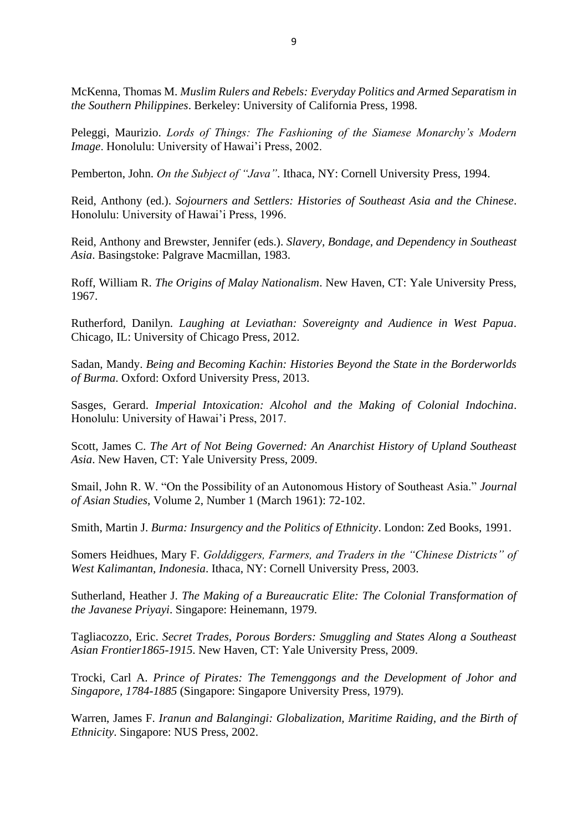McKenna, Thomas M. *Muslim Rulers and Rebels: Everyday Politics and Armed Separatism in the Southern Philippines*. Berkeley: University of California Press, 1998.

Peleggi, Maurizio. *Lords of Things: The Fashioning of the Siamese Monarchy's Modern Image*. Honolulu: University of Hawai'i Press, 2002.

Pemberton, John. *On the Subject of "Java"*. Ithaca, NY: Cornell University Press, 1994.

Reid, Anthony (ed.). *Sojourners and Settlers: Histories of Southeast Asia and the Chinese*. Honolulu: University of Hawai'i Press, 1996.

Reid, Anthony and Brewster, Jennifer (eds.). *Slavery, Bondage, and Dependency in Southeast Asia*. Basingstoke: Palgrave Macmillan, 1983.

Roff, William R. *The Origins of Malay Nationalism*. New Haven, CT: Yale University Press, 1967.

Rutherford, Danilyn. *Laughing at Leviathan: Sovereignty and Audience in West Papua*. Chicago, IL: University of Chicago Press, 2012.

Sadan, Mandy. *Being and Becoming Kachin: Histories Beyond the State in the Borderworlds of Burma*. Oxford: Oxford University Press, 2013.

Sasges, Gerard. *Imperial Intoxication: Alcohol and the Making of Colonial Indochina*. Honolulu: University of Hawai'i Press, 2017.

Scott, James C. *The Art of Not Being Governed: An Anarchist History of Upland Southeast Asia*. New Haven, CT: Yale University Press, 2009.

Smail, John R. W. "On the Possibility of an Autonomous History of Southeast Asia." *Journal of Asian Studies*, Volume 2, Number 1 (March 1961): 72-102.

Smith, Martin J. *Burma: Insurgency and the Politics of Ethnicity*. London: Zed Books, 1991.

Somers Heidhues, Mary F. *Golddiggers, Farmers, and Traders in the "Chinese Districts" of West Kalimantan, Indonesia*. Ithaca, NY: Cornell University Press, 2003.

Sutherland, Heather J. *The Making of a Bureaucratic Elite: The Colonial Transformation of the Javanese Priyayi*. Singapore: Heinemann, 1979.

Tagliacozzo, Eric. *Secret Trades, Porous Borders: Smuggling and States Along a Southeast Asian Frontier1865-1915*. New Haven, CT: Yale University Press, 2009.

Trocki, Carl A. *Prince of Pirates: The Temenggongs and the Development of Johor and Singapore, 1784-1885* (Singapore: Singapore University Press, 1979).

Warren, James F. *Iranun and Balangingi: Globalization, Maritime Raiding, and the Birth of Ethnicity*. Singapore: NUS Press, 2002.